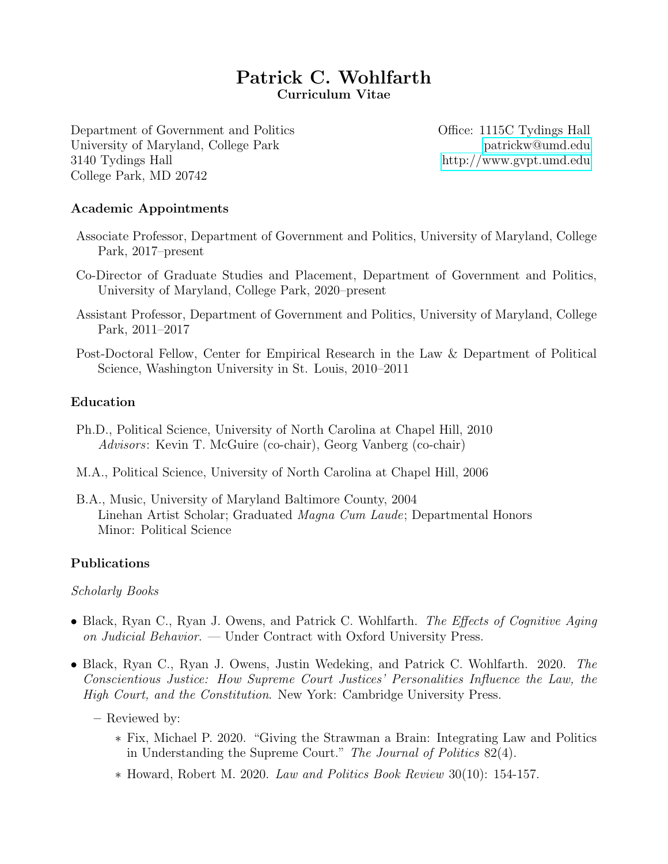# Patrick C. Wohlfarth Curriculum Vitae

Department of Government and Politics Office: 1115C Tydings Hall University of Maryland, College Park [patrickw@umd.edu](mailto:patrickw@umd.edu) 3140 Tydings Hall [http://www.gvpt.umd.edu](https://gvpt.umd.edu/facultyprofile/wohlfarth/patrick-c) College Park, MD 20742

### Academic Appointments

- Associate Professor, Department of Government and Politics, University of Maryland, College Park, 2017–present
- Co-Director of Graduate Studies and Placement, Department of Government and Politics, University of Maryland, College Park, 2020–present
- Assistant Professor, Department of Government and Politics, University of Maryland, College Park, 2011–2017
- Post-Doctoral Fellow, Center for Empirical Research in the Law & Department of Political Science, Washington University in St. Louis, 2010–2011

### Education

- Ph.D., Political Science, University of North Carolina at Chapel Hill, 2010 Advisors: Kevin T. McGuire (co-chair), Georg Vanberg (co-chair)
- M.A., Political Science, University of North Carolina at Chapel Hill, 2006
- B.A., Music, University of Maryland Baltimore County, 2004 Linehan Artist Scholar; Graduated Magna Cum Laude; Departmental Honors Minor: Political Science

### Publications

#### Scholarly Books

- Black, Ryan C., Ryan J. Owens, and Patrick C. Wohlfarth. The Effects of Cognitive Aging on Judicial Behavior. — Under Contract with Oxford University Press.
- Black, Ryan C., Ryan J. Owens, Justin Wedeking, and Patrick C. Wohlfarth. 2020. The Conscientious Justice: How Supreme Court Justices' Personalities Influence the Law, the High Court, and the Constitution. New York: Cambridge University Press.

– Reviewed by:

- ∗ Fix, Michael P. 2020. "Giving the Strawman a Brain: Integrating Law and Politics in Understanding the Supreme Court." The Journal of Politics 82(4).
- ∗ Howard, Robert M. 2020. Law and Politics Book Review 30(10): 154-157.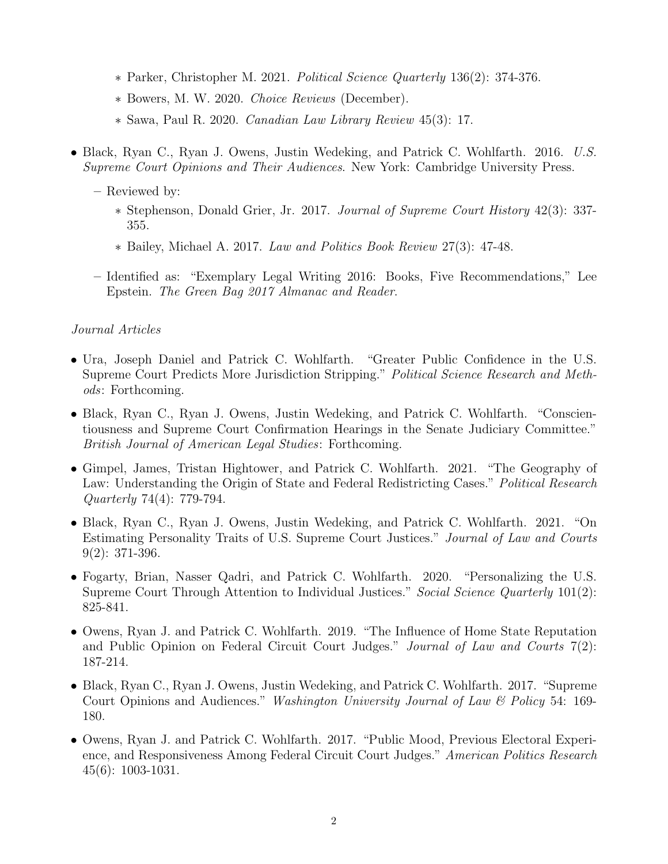- ∗ Parker, Christopher M. 2021. Political Science Quarterly 136(2): 374-376.
- ∗ Bowers, M. W. 2020. Choice Reviews (December).
- ∗ Sawa, Paul R. 2020. Canadian Law Library Review 45(3): 17.
- Black, Ryan C., Ryan J. Owens, Justin Wedeking, and Patrick C. Wohlfarth. 2016. U.S. Supreme Court Opinions and Their Audiences. New York: Cambridge University Press.
	- Reviewed by:
		- ∗ Stephenson, Donald Grier, Jr. 2017. Journal of Supreme Court History 42(3): 337- 355.
		- ∗ Bailey, Michael A. 2017. Law and Politics Book Review 27(3): 47-48.
	- Identified as: "Exemplary Legal Writing 2016: Books, Five Recommendations," Lee Epstein. The Green Bag 2017 Almanac and Reader.

### Journal Articles

- Ura, Joseph Daniel and Patrick C. Wohlfarth. "Greater Public Confidence in the U.S. Supreme Court Predicts More Jurisdiction Stripping." Political Science Research and Methods: Forthcoming.
- Black, Ryan C., Ryan J. Owens, Justin Wedeking, and Patrick C. Wohlfarth. "Conscientiousness and Supreme Court Confirmation Hearings in the Senate Judiciary Committee." British Journal of American Legal Studies: Forthcoming.
- Gimpel, James, Tristan Hightower, and Patrick C. Wohlfarth. 2021. "The Geography of Law: Understanding the Origin of State and Federal Redistricting Cases." Political Research Quarterly 74(4): 779-794.
- Black, Ryan C., Ryan J. Owens, Justin Wedeking, and Patrick C. Wohlfarth. 2021. "On Estimating Personality Traits of U.S. Supreme Court Justices." Journal of Law and Courts 9(2): 371-396.
- Fogarty, Brian, Nasser Qadri, and Patrick C. Wohlfarth. 2020. "Personalizing the U.S. Supreme Court Through Attention to Individual Justices." Social Science Quarterly 101(2): 825-841.
- Owens, Ryan J. and Patrick C. Wohlfarth. 2019. "The Influence of Home State Reputation and Public Opinion on Federal Circuit Court Judges." Journal of Law and Courts 7(2): 187-214.
- Black, Ryan C., Ryan J. Owens, Justin Wedeking, and Patrick C. Wohlfarth. 2017. "Supreme Court Opinions and Audiences." Washington University Journal of Law & Policy 54: 169- 180.
- Owens, Ryan J. and Patrick C. Wohlfarth. 2017. "Public Mood, Previous Electoral Experience, and Responsiveness Among Federal Circuit Court Judges." American Politics Research 45(6): 1003-1031.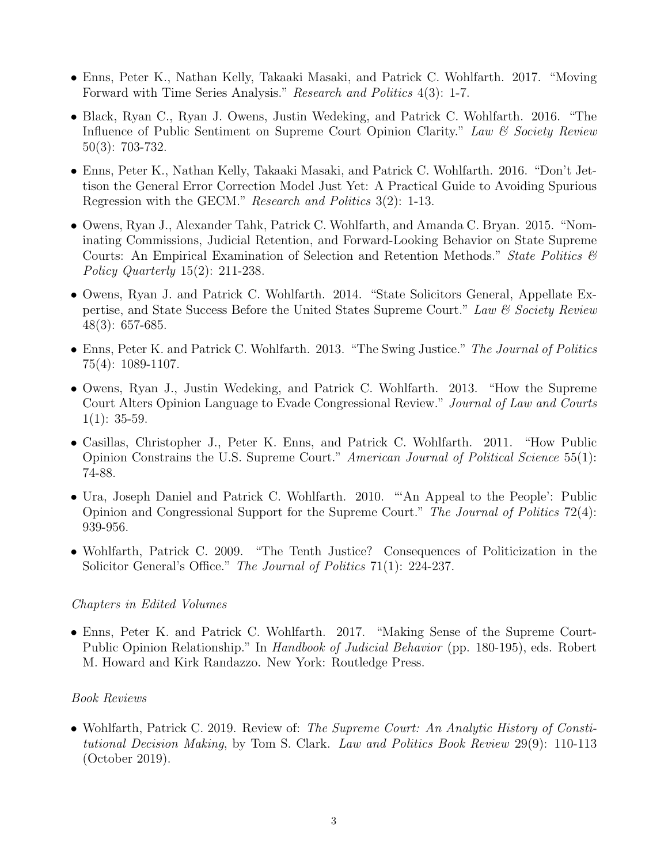- Enns, Peter K., Nathan Kelly, Takaaki Masaki, and Patrick C. Wohlfarth. 2017. "Moving Forward with Time Series Analysis." Research and Politics 4(3): 1-7.
- Black, Ryan C., Ryan J. Owens, Justin Wedeking, and Patrick C. Wohlfarth. 2016. "The Influence of Public Sentiment on Supreme Court Opinion Clarity." Law & Society Review 50(3): 703-732.
- Enns, Peter K., Nathan Kelly, Takaaki Masaki, and Patrick C. Wohlfarth. 2016. "Don't Jettison the General Error Correction Model Just Yet: A Practical Guide to Avoiding Spurious Regression with the GECM." Research and Politics 3(2): 1-13.
- Owens, Ryan J., Alexander Tahk, Patrick C. Wohlfarth, and Amanda C. Bryan. 2015. "Nominating Commissions, Judicial Retention, and Forward-Looking Behavior on State Supreme Courts: An Empirical Examination of Selection and Retention Methods." State Politics  $\mathcal{C}$ Policy Quarterly 15(2): 211-238.
- Owens, Ryan J. and Patrick C. Wohlfarth. 2014. "State Solicitors General, Appellate Expertise, and State Success Before the United States Supreme Court." Law  $\mathcal{C}$  Society Review 48(3): 657-685.
- Enns, Peter K. and Patrick C. Wohlfarth. 2013. "The Swing Justice." The Journal of Politics 75(4): 1089-1107.
- Owens, Ryan J., Justin Wedeking, and Patrick C. Wohlfarth. 2013. "How the Supreme Court Alters Opinion Language to Evade Congressional Review." Journal of Law and Courts  $1(1): 35-59.$
- Casillas, Christopher J., Peter K. Enns, and Patrick C. Wohlfarth. 2011. "How Public Opinion Constrains the U.S. Supreme Court." American Journal of Political Science 55(1): 74-88.
- Ura, Joseph Daniel and Patrick C. Wohlfarth. 2010. "'An Appeal to the People': Public Opinion and Congressional Support for the Supreme Court." The Journal of Politics 72(4): 939-956.
- Wohlfarth, Patrick C. 2009. "The Tenth Justice? Consequences of Politicization in the Solicitor General's Office." The Journal of Politics 71(1): 224-237.

### Chapters in Edited Volumes

• Enns, Peter K. and Patrick C. Wohlfarth. 2017. "Making Sense of the Supreme Court-Public Opinion Relationship." In Handbook of Judicial Behavior (pp. 180-195), eds. Robert M. Howard and Kirk Randazzo. New York: Routledge Press.

# Book Reviews

• Wohlfarth, Patrick C. 2019. Review of: The Supreme Court: An Analytic History of Constitutional Decision Making, by Tom S. Clark. Law and Politics Book Review 29(9): 110-113 (October 2019).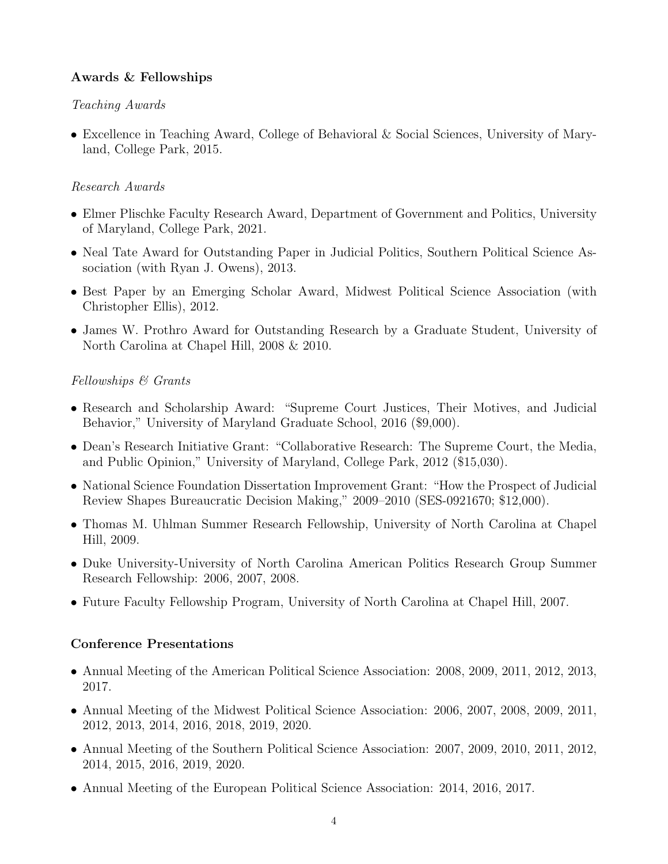# Awards & Fellowships

# Teaching Awards

• Excellence in Teaching Award, College of Behavioral & Social Sciences, University of Maryland, College Park, 2015.

# Research Awards

- Elmer Plischke Faculty Research Award, Department of Government and Politics, University of Maryland, College Park, 2021.
- Neal Tate Award for Outstanding Paper in Judicial Politics, Southern Political Science Association (with Ryan J. Owens), 2013.
- Best Paper by an Emerging Scholar Award, Midwest Political Science Association (with Christopher Ellis), 2012.
- James W. Prothro Award for Outstanding Research by a Graduate Student, University of North Carolina at Chapel Hill, 2008 & 2010.

# Fellowships & Grants

- Research and Scholarship Award: "Supreme Court Justices, Their Motives, and Judicial Behavior," University of Maryland Graduate School, 2016 (\$9,000).
- Dean's Research Initiative Grant: "Collaborative Research: The Supreme Court, the Media, and Public Opinion," University of Maryland, College Park, 2012 (\$15,030).
- National Science Foundation Dissertation Improvement Grant: "How the Prospect of Judicial Review Shapes Bureaucratic Decision Making," 2009–2010 (SES-0921670; \$12,000).
- Thomas M. Uhlman Summer Research Fellowship, University of North Carolina at Chapel Hill, 2009.
- Duke University-University of North Carolina American Politics Research Group Summer Research Fellowship: 2006, 2007, 2008.
- Future Faculty Fellowship Program, University of North Carolina at Chapel Hill, 2007.

# Conference Presentations

- Annual Meeting of the American Political Science Association: 2008, 2009, 2011, 2012, 2013, 2017.
- Annual Meeting of the Midwest Political Science Association: 2006, 2007, 2008, 2009, 2011, 2012, 2013, 2014, 2016, 2018, 2019, 2020.
- Annual Meeting of the Southern Political Science Association: 2007, 2009, 2010, 2011, 2012, 2014, 2015, 2016, 2019, 2020.
- Annual Meeting of the European Political Science Association: 2014, 2016, 2017.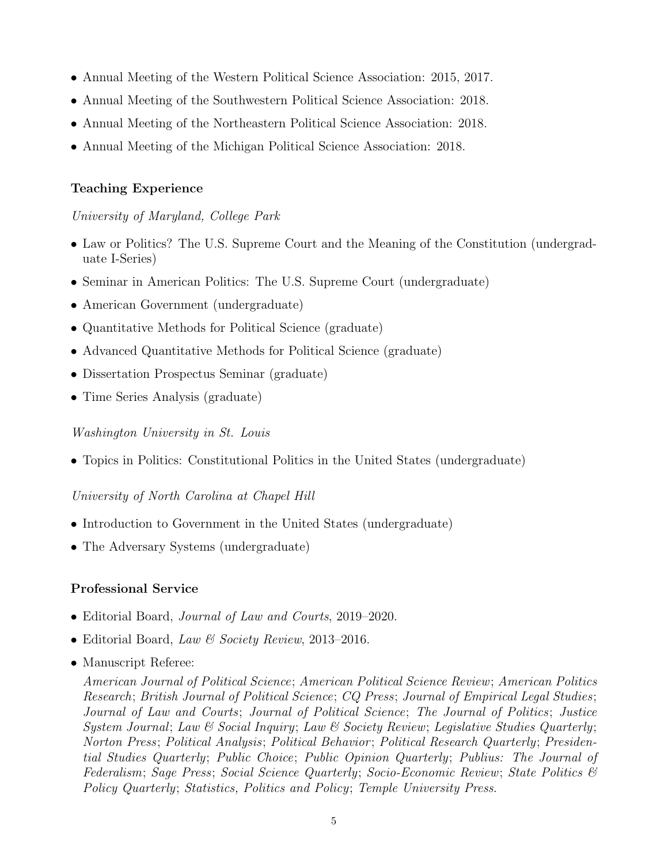- Annual Meeting of the Western Political Science Association: 2015, 2017.
- Annual Meeting of the Southwestern Political Science Association: 2018.
- Annual Meeting of the Northeastern Political Science Association: 2018.
- Annual Meeting of the Michigan Political Science Association: 2018.

# Teaching Experience

University of Maryland, College Park

- Law or Politics? The U.S. Supreme Court and the Meaning of the Constitution (undergraduate I-Series)
- Seminar in American Politics: The U.S. Supreme Court (undergraduate)
- American Government (undergraduate)
- Quantitative Methods for Political Science (graduate)
- Advanced Quantitative Methods for Political Science (graduate)
- Dissertation Prospectus Seminar (graduate)
- Time Series Analysis (graduate)

# Washington University in St. Louis

• Topics in Politics: Constitutional Politics in the United States (undergraduate)

# University of North Carolina at Chapel Hill

- Introduction to Government in the United States (undergraduate)
- The Adversary Systems (undergraduate)

# Professional Service

- Editorial Board, *Journal of Law and Courts*, 2019–2020.
- Editorial Board, Law & Society Review, 2013–2016.
- Manuscript Referee:

American Journal of Political Science; American Political Science Review; American Politics Research; British Journal of Political Science; CQ Press; Journal of Empirical Legal Studies; Journal of Law and Courts; Journal of Political Science; The Journal of Politics; Justice System Journal; Law & Social Inquiry; Law & Society Review; Legislative Studies Quarterly; Norton Press; Political Analysis; Political Behavior ; Political Research Quarterly; Presidential Studies Quarterly; Public Choice; Public Opinion Quarterly; Publius: The Journal of Federalism; Sage Press; Social Science Quarterly; Socio-Economic Review; State Politics & Policy Quarterly; Statistics, Politics and Policy; Temple University Press.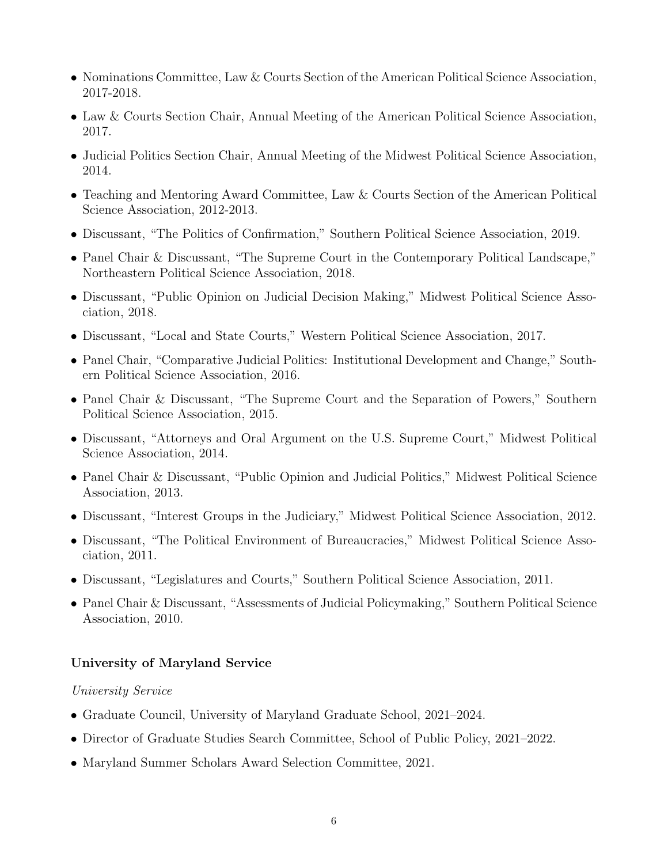- Nominations Committee, Law & Courts Section of the American Political Science Association, 2017-2018.
- Law & Courts Section Chair, Annual Meeting of the American Political Science Association, 2017.
- Judicial Politics Section Chair, Annual Meeting of the Midwest Political Science Association, 2014.
- Teaching and Mentoring Award Committee, Law & Courts Section of the American Political Science Association, 2012-2013.
- Discussant, "The Politics of Confirmation," Southern Political Science Association, 2019.
- Panel Chair & Discussant, "The Supreme Court in the Contemporary Political Landscape," Northeastern Political Science Association, 2018.
- Discussant, "Public Opinion on Judicial Decision Making," Midwest Political Science Association, 2018.
- Discussant, "Local and State Courts," Western Political Science Association, 2017.
- Panel Chair, "Comparative Judicial Politics: Institutional Development and Change," Southern Political Science Association, 2016.
- Panel Chair & Discussant, "The Supreme Court and the Separation of Powers," Southern Political Science Association, 2015.
- Discussant, "Attorneys and Oral Argument on the U.S. Supreme Court," Midwest Political Science Association, 2014.
- Panel Chair & Discussant, "Public Opinion and Judicial Politics," Midwest Political Science Association, 2013.
- Discussant, "Interest Groups in the Judiciary," Midwest Political Science Association, 2012.
- Discussant, "The Political Environment of Bureaucracies," Midwest Political Science Association, 2011.
- Discussant, "Legislatures and Courts," Southern Political Science Association, 2011.
- Panel Chair & Discussant, "Assessments of Judicial Policymaking," Southern Political Science Association, 2010.

### University of Maryland Service

### University Service

- Graduate Council, University of Maryland Graduate School, 2021–2024.
- Director of Graduate Studies Search Committee, School of Public Policy, 2021–2022.
- Maryland Summer Scholars Award Selection Committee, 2021.